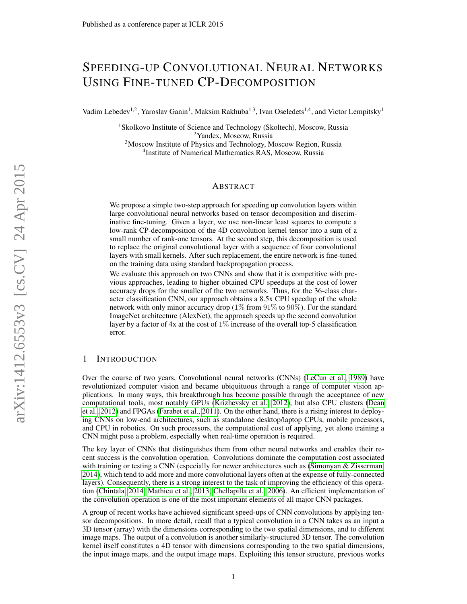# SPEEDING-UP CONVOLUTIONAL NEURAL NETWORKS USING FINE-TUNED CP-DECOMPOSITION

Vadim Lebedev<sup>1,2</sup>, Yaroslav Ganin<sup>1</sup>, Maksim Rakhuba<sup>1,3</sup>, Ivan Oseledets<sup>1,4</sup>, and Victor Lempitsky<sup>1</sup>

<sup>1</sup>Skolkovo Institute of Science and Technology (Skoltech), Moscow, Russia <sup>2</sup>Yandex, Moscow, Russia <sup>3</sup>Moscow Institute of Physics and Technology, Moscow Region, Russia

4 Institute of Numerical Mathematics RAS, Moscow, Russia

### ABSTRACT

We propose a simple two-step approach for speeding up convolution layers within large convolutional neural networks based on tensor decomposition and discriminative fine-tuning. Given a layer, we use non-linear least squares to compute a low-rank CP-decomposition of the 4D convolution kernel tensor into a sum of a small number of rank-one tensors. At the second step, this decomposition is used to replace the original convolutional layer with a sequence of four convolutional layers with small kernels. After such replacement, the entire network is fine-tuned on the training data using standard backpropagation process.

We evaluate this approach on two CNNs and show that it is competitive with previous approaches, leading to higher obtained CPU speedups at the cost of lower accuracy drops for the smaller of the two networks. Thus, for the 36-class character classification CNN, our approach obtains a 8.5x CPU speedup of the whole network with only minor accuracy drop  $(1\%$  from  $91\%$  to  $90\%$ ). For the standard ImageNet architecture (AlexNet), the approach speeds up the second convolution layer by a factor of  $4x$  at the cost of  $1\%$  increase of the overall top-5 classification error.

## 1 INTRODUCTION

Over the course of two years, Convolutional neural networks (CNNs) [\(LeCun et al., 1989\)](#page-9-0) have revolutionized computer vision and became ubiquituous through a range of computer vision applications. In many ways, this breakthrough has become possible through the acceptance of new computational tools, most notably GPUs [\(Krizhevsky et al., 2012\)](#page-9-1), but also CPU clusters [\(Dean](#page-8-0) [et al., 2012\)](#page-8-0) and FPGAs [\(Farabet et al., 2011\)](#page-8-1). On the other hand, there is a rising interest to deploying CNNs on low-end architectures, such as standalone desktop/laptop CPUs, mobile processors, and CPU in robotics. On such processors, the computational cost of applying, yet alone training a CNN might pose a problem, especially when real-time operation is required.

The key layer of CNNs that distinguishes them from other neural networks and enables their recent success is the convolution operation. Convolutions dominate the computation cost associated with training or testing a CNN (especially for newer architectures such as [\(Simonyan & Zisserman,](#page-9-2) [2014\)](#page-9-2), which tend to add more and more convolutional layers often at the expense of fully-connected layers). Consequently, there is a strong interest to the task of improving the efficiency of this operation [\(Chintala, 2014;](#page-8-2) [Mathieu et al., 2013;](#page-9-3) [Chellapilla et al., 2006\)](#page-8-3). An efficient implementation of the convolution operation is one of the most important elements of all major CNN packages.

A group of recent works have achieved significant speed-ups of CNN convolutions by applying tensor decompositions. In more detail, recall that a typical convolution in a CNN takes as an input a 3D tensor (array) with the dimensions corresponding to the two spatial dimensions, and to different image maps. The output of a convolution is another similarly-structured 3D tensor. The convolution kernel itself constitutes a 4D tensor with dimensions corresponding to the two spatial dimensions, the input image maps, and the output image maps. Exploiting this tensor structure, previous works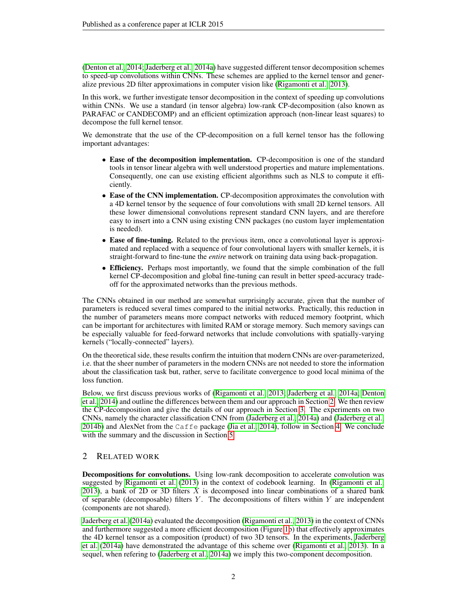[\(Denton et al., 2014;](#page-8-4) [Jaderberg et al., 2014a\)](#page-9-4) have suggested different tensor decomposition schemes to speed-up convolutions within CNNs. These schemes are applied to the kernel tensor and generalize previous 2D filter approximations in computer vision like [\(Rigamonti et al., 2013\)](#page-9-5).

In this work, we further investigate tensor decomposition in the context of speeding up convolutions within CNNs. We use a standard (in tensor algebra) low-rank CP-decomposition (also known as PARAFAC or CANDECOMP) and an efficient optimization approach (non-linear least squares) to decompose the full kernel tensor.

We demonstrate that the use of the CP-decomposition on a full kernel tensor has the following important advantages:

- Ease of the decomposition implementation. CP-decomposition is one of the standard tools in tensor linear algebra with well understood properties and mature implementations. Consequently, one can use existing efficient algorithms such as NLS to compute it efficiently.
- Ease of the CNN implementation. CP-decomposition approximates the convolution with a 4D kernel tensor by the sequence of four convolutions with small 2D kernel tensors. All these lower dimensional convolutions represent standard CNN layers, and are therefore easy to insert into a CNN using existing CNN packages (no custom layer implementation is needed).
- Ease of fine-tuning. Related to the previous item, once a convolutional layer is approximated and replaced with a sequence of four convolutional layers with smaller kernels, it is straight-forward to fine-tune the *entire* network on training data using back-propagation.
- Efficiency. Perhaps most importantly, we found that the simple combination of the full kernel CP-decomposition and global fine-tuning can result in better speed-accuracy tradeoff for the approximated networks than the previous methods.

The CNNs obtained in our method are somewhat surprisingly accurate, given that the number of parameters is reduced several times compared to the initial networks. Practically, this reduction in the number of parameters means more compact networks with reduced memory footprint, which can be important for architectures with limited RAM or storage memory. Such memory savings can be especially valuable for feed-forward networks that include convolutions with spatially-varying kernels ("locally-connected" layers).

On the theoretical side, these results confirm the intuition that modern CNNs are over-parameterized, i.e. that the sheer number of parameters in the modern CNNs are not needed to store the information about the classification task but, rather, serve to facilitate convergence to good local minima of the loss function.

Below, we first discuss previous works of [\(Rigamonti et al., 2013;](#page-9-5) [Jaderberg et al., 2014a;](#page-9-4) [Denton](#page-8-4) [et al., 2014\)](#page-8-4) and outline the differences between them and our approach in Section [2.](#page-1-0) We then review the CP-decomposition and give the details of our approach in Section [3.](#page-3-0) The experiments on two CNNs, namely the character classification CNN from [\(Jaderberg et al., 2014a\)](#page-9-4) and [\(Jaderberg et al.,](#page-9-6) [2014b\)](#page-9-6) and AlexNet from the Caffe package [\(Jia et al., 2014\)](#page-9-7), follow in Section [4.](#page-5-0) We conclude with the summary and the discussion in Section [5.](#page-6-0)

# <span id="page-1-0"></span>2 RELATED WORK

Decompositions for convolutions. Using low-rank decomposition to accelerate convolution was suggested by [Rigamonti et al.](#page-9-5) [\(2013\)](#page-9-5) in the context of codebook learning. In [\(Rigamonti et al.,](#page-9-5) [2013\)](#page-9-5), a bank of 2D or 3D filters  $X$  is decomposed into linear combinations of a shared bank of separable (decomposable) filters  $Y$ . The decompositions of filters within  $Y$  are independent (components are not shared).

[Jaderberg et al.](#page-9-4) [\(2014a\)](#page-9-4) evaluated the decomposition [\(Rigamonti et al., 2013\)](#page-9-5) in the context of CNNs and furthermore suggested a more efficient decomposition (Figure [1b](#page-2-0)) that effectively approximates the 4D kernel tensor as a composition (product) of two 3D tensors. In the experiments, [Jaderberg](#page-9-4) [et al.](#page-9-4) [\(2014a\)](#page-9-4) have demonstrated the advantage of this scheme over [\(Rigamonti et al., 2013\)](#page-9-5). In a sequel, when refering to [\(Jaderberg et al., 2014a\)](#page-9-4) we imply this two-component decomposition.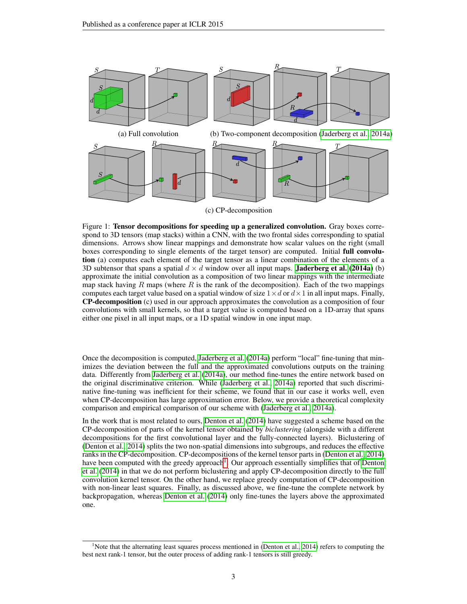<span id="page-2-0"></span>

Figure 1: Tensor decompositions for speeding up a generalized convolution. Gray boxes correspond to 3D tensors (map stacks) within a CNN, with the two frontal sides corresponding to spatial dimensions. Arrows show linear mappings and demonstrate how scalar values on the right (small boxes corresponding to single elements of the target tensor) are computed. Initial full convolution (a) computes each element of the target tensor as a linear combination of the elements of a 3D subtensor that spans a spatial  $d \times d$  window over all input maps. **[Jaderberg et al.](#page-9-4)** [\(2014a\)](#page-9-4) (b) approximate the initial convolution as a composition of two linear mappings with the intermediate map stack having R maps (where R is the rank of the decomposition). Each of the two mappings computes each target value based on a spatial window of size  $1 \times d$  or  $d \times 1$  in all input maps. Finally, CP-decomposition (c) used in our approach approximates the convolution as a composition of four convolutions with small kernels, so that a target value is computed based on a 1D-array that spans either one pixel in all input maps, or a 1D spatial window in one input map.

Once the decomposition is computed, [Jaderberg et al.](#page-9-4) [\(2014a\)](#page-9-4) perform "local" fine-tuning that minimizes the deviation between the full and the approximated convolutions outputs on the training data. Differently from [Jaderberg et al.](#page-9-4) [\(2014a\)](#page-9-4), our method fine-tunes the entire network based on the original discriminative criterion. While [\(Jaderberg et al., 2014a\)](#page-9-4) reported that such discriminative fine-tuning was inefficient for their scheme, we found that in our case it works well, even when CP-decomposition has large approximation error. Below, we provide a theoretical complexity comparison and empirical comparison of our scheme with [\(Jaderberg et al., 2014a\)](#page-9-4).

In the work that is most related to ours, [Denton et al.](#page-8-4) [\(2014\)](#page-8-4) have suggested a scheme based on the CP-decomposition of parts of the kernel tensor obtained by *biclustering* (alongside with a different decompositions for the first convolutional layer and the fully-connected layers). Biclustering of [\(Denton et al., 2014\)](#page-8-4) splits the two non-spatial dimensions into subgroups, and reduces the effective ranks in the CP-decomposition. CP-decompositions of the kernel tensor parts in [\(Denton et al., 2014\)](#page-8-4) have been computed with the greedy approach<sup>[1](#page-2-1)</sup>. Our approach essentially simplifies that of [Denton](#page-8-4) [et al.](#page-8-4) [\(2014\)](#page-8-4) in that we do not perform biclustering and apply CP-decomposition directly to the full convolution kernel tensor. On the other hand, we replace greedy computation of CP-decomposition with non-linear least squares. Finally, as discussed above, we fine-tune the complete network by backpropagation, whereas [Denton et al.](#page-8-4) [\(2014\)](#page-8-4) only fine-tunes the layers above the approximated one.

<span id="page-2-1"></span><sup>&</sup>lt;sup>1</sup>Note that the alternating least squares process mentioned in [\(Denton et al., 2014\)](#page-8-4) refers to computing the best next rank-1 tensor, but the outer process of adding rank-1 tensors is still greedy.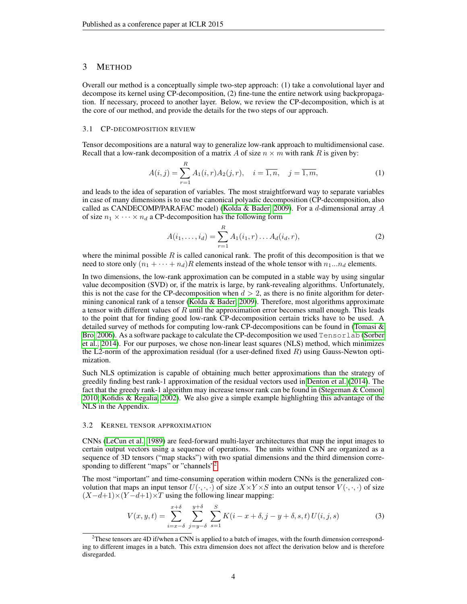### <span id="page-3-0"></span>3 METHOD

Overall our method is a conceptually simple two-step approach: (1) take a convolutional layer and decompose its kernel using CP-decomposition, (2) fine-tune the entire network using backpropagation. If necessary, proceed to another layer. Below, we review the CP-decomposition, which is at the core of our method, and provide the details for the two steps of our approach.

### 3.1 CP-DECOMPOSITION REVIEW

Tensor decompositions are a natural way to generalize low-rank approach to multidimensional case. Recall that a low-rank decomposition of a matrix A of size  $n \times m$  with rank R is given by:

$$
A(i,j) = \sum_{r=1}^{R} A_1(i,r) A_2(j,r), \quad i = \overline{1,n}, \quad j = \overline{1,m}, \tag{1}
$$

and leads to the idea of separation of variables. The most straightforward way to separate variables in case of many dimensions is to use the canonical polyadic decomposition (CP-decomposition, also called as CANDECOMP/PARAFAC model) [\(Kolda & Bader, 2009\)](#page-9-8). For a d-dimensional array A of size  $n_1 \times \cdots \times n_d$  a CP-decomposition has the following form

<span id="page-3-2"></span>
$$
A(i_1, \dots, i_d) = \sum_{r=1}^{R} A_1(i_1, r) \dots A_d(i_d, r), \tag{2}
$$

where the minimal possible  $R$  is called canonical rank. The profit of this decomposition is that we need to store only  $(n_1 + \cdots + n_d)R$  elements instead of the whole tensor with  $n_1...n_d$  elements.

In two dimensions, the low-rank approximation can be computed in a stable way by using singular value decomposition (SVD) or, if the matrix is large, by rank-revealing algorithms. Unfortunately, this is not the case for the CP-decomposition when  $d > 2$ , as there is no finite algorithm for determining canonical rank of a tensor [\(Kolda & Bader, 2009\)](#page-9-8). Therefore, most algorithms approximate a tensor with different values of  $R$  until the approximation error becomes small enough. This leads to the point that for finding good low-rank CP-decomposition certain tricks have to be used. A detailed survey of methods for computing low-rank CP-decompositions can be found in [\(Tomasi &](#page-9-9) [Bro, 2006\)](#page-9-9). As a software package to calculate the CP-decomposition we used Tensorlab [\(Sorber](#page-9-10) [et al., 2014\)](#page-9-10). For our purposes, we chose non-linear least squares (NLS) method, which minimizes the L2-norm of the approximation residual (for a user-defined fixed  $R$ ) using Gauss-Newton optimization.

Such NLS optimization is capable of obtaining much better approximations than the strategy of greedily finding best rank-1 approximation of the residual vectors used in [Denton et al.](#page-8-4) [\(2014\)](#page-8-4). The fact that the greedy rank-1 algorithm may increase tensor rank can be found in [\(Stegeman & Comon,](#page-9-11) [2010;](#page-9-11) [Kofidis & Regalia, 2002\)](#page-9-12). We also give a simple example highlighting this advantage of the NLS in the Appendix.

### 3.2 KERNEL TENSOR APPROXIMATION

CNNs [\(LeCun et al., 1989\)](#page-9-0) are feed-forward multi-layer architectures that map the input images to certain output vectors using a sequence of operations. The units within CNN are organized as a sequence of 3D tensors ("map stacks") with two spatial dimensions and the third dimension corre-sponding to different "maps" or "channels"<sup>[2](#page-3-1)</sup>.

The most "important" and time-consuming operation within modern CNNs is the generalized convolution that maps an input tensor  $U(\cdot, \cdot, \cdot)$  of size  $X \times Y \times S$  into an output tensor  $V(\cdot, \cdot, \cdot)$  of size  $(X-d+1)\times(Y-d+1)\times T$  using the following linear mapping:

<span id="page-3-3"></span>
$$
V(x, y, t) = \sum_{i=x-\delta}^{x+\delta} \sum_{j=y-\delta}^{y+\delta} \sum_{s=1}^{S} K(i - x + \delta, j - y + \delta, s, t) U(i, j, s)
$$
(3)

<span id="page-3-1"></span><sup>&</sup>lt;sup>2</sup>These tensors are 4D if/when a CNN is applied to a batch of images, with the fourth dimension corresponding to different images in a batch. This extra dimension does not affect the derivation below and is therefore disregarded.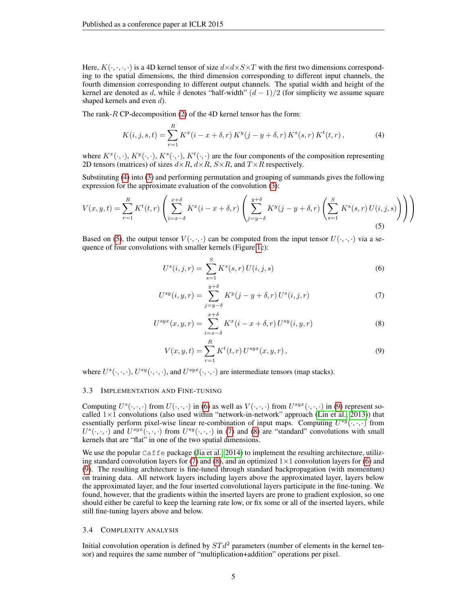Here,  $K(\cdot,\cdot,\cdot,\cdot)$  is a 4D kernel tensor of size  $d \times d \times S \times T$  with the first two dimensions corresponding to the spatial dimensions, the third dimension corresponding to different input channels, the fourth dimension corresponding to different output channels. The spatial width and height of the kernel are denoted as d, while  $\delta$  denotes "half-width"  $(d-1)/2$  (for simplicity we assume square shaped kernels and even  $d$ ).

The rank-R CP-decomposition [\(2\)](#page-3-2) of the 4D kernel tensor has the form:

<span id="page-4-0"></span>
$$
K(i,j,s,t) = \sum_{r=1}^{R} K^{x}(i - x + \delta, r) K^{y}(j - y + \delta, r) K^{s}(s, r) K^{t}(t, r),
$$
\n(4)

where  $K^x(\cdot, \cdot)$ ,  $K^y(\cdot, \cdot)$ ,  $K^s(\cdot, \cdot)$ ,  $K^t(\cdot, \cdot)$  are the four components of the composition representing 2D tensors (matrices) of sizes  $d \times R$ ,  $d \times R$ ,  $S \times R$ , and  $T \times R$  respectively.

Substituting [\(4\)](#page-4-0) into [\(3\)](#page-3-3) and performing permutation and grouping of summands gives the following expression for the approximate evaluation of the convolution [\(3\)](#page-3-3):

$$
V(x,y,t) = \sum_{r=1}^{R} K^t(t,r) \left( \sum_{i=x-\delta}^{x+\delta} K^x(i-x+\delta,r) \left( \sum_{j=y-\delta}^{y+\delta} K^y(j-y+\delta,r) \left( \sum_{s=1}^{S} K^s(s,r) U(i,j,s) \right) \right) \right)
$$
(5)

Based on [\(5\)](#page-4-1), the output tensor  $V(\cdot, \cdot, \cdot)$  can be computed from the input tensor  $U(\cdot, \cdot, \cdot)$  via a sequence of four convolutions with smaller kernels (Figure [1c](#page-2-0)):

<span id="page-4-4"></span><span id="page-4-2"></span><span id="page-4-1"></span>
$$
U^{s}(i,j,r) = \sum_{s=1}^{S} K^{s}(s,r) U(i,j,s)
$$
\n(6)

$$
U^{sy}(i, y, r) = \sum_{j=y-\delta}^{y+\delta} K^{y}(j - y + \delta, r) U^{s}(i, j, r)
$$
 (7)

$$
U^{syx}(x, y, r) = \sum_{i=x-\delta}^{x+\delta} K^x(i - x + \delta, r) U^{sy}(i, y, r)
$$
 (8)

<span id="page-4-5"></span><span id="page-4-3"></span>
$$
V(x, y, t) = \sum_{r=1}^{R} K^{t}(t, r) U^{syx}(x, y, r),
$$
\n(9)

where  $U^{s}(\cdot,\cdot,\cdot), U^{sy}(\cdot,\cdot,\cdot)$ , and  $U^{syx}(\cdot,\cdot,\cdot)$  are intermediate tensors (map stacks).

### 3.3 IMPLEMENTATION AND FINE-TUNING

Computing  $U^s(\cdot,\cdot,\cdot)$  from  $U(\cdot,\cdot,\cdot)$  in [\(6\)](#page-4-2) as well as  $V(\cdot,\cdot,\cdot)$  from  $U^{syx}(\cdot,\cdot,\cdot)$  in [\(9\)](#page-4-3) represent socalled  $1\times1$  convolutions (also used within "network-in-network" approach [\(Lin et al., 2013\)](#page-9-13)) that essentially perform pixel-wise linear re-combination of input maps. Computing  $U^{sy}(\cdot,\cdot,\cdot)$  from  $U^s(\cdot,\cdot,\cdot)$  and  $U^{syz}(\cdot,\cdot,\cdot)$  from  $U^{sy}(\cdot,\cdot,\cdot)$  in [\(7\)](#page-4-4) and [\(8\)](#page-4-5) are "standard" convolutions with small kernels that are "flat" in one of the two spatial dimensions.

We use the popular Caffe package [\(Jia et al., 2014\)](#page-9-7) to implement the resulting architecture, utiliz-ing standard convolution layers for [\(7\)](#page-4-4) and [\(8\)](#page-4-5), and an optimized  $1 \times 1$  convolution layers for [\(6\)](#page-4-2) and [\(9\)](#page-4-3). The resulting architecture is fine-tuned through standard backpropagation (with momentum) on training data. All network layers including layers above the approximated layer, layers below the approximated layer, and the four inserted convolutional layers participate in the fine-tuning. We found, however, that the gradients within the inserted layers are prone to gradient explosion, so one should either be careful to keep the learning rate low, or fix some or all of the inserted layers, while still fine-tuning layers above and below.

### 3.4 COMPLEXITY ANALYSIS

Initial convolution operation is defined by  $STd^2$  parameters (number of elements in the kernel tensor) and requires the same number of "multiplication+addition" operations per pixel.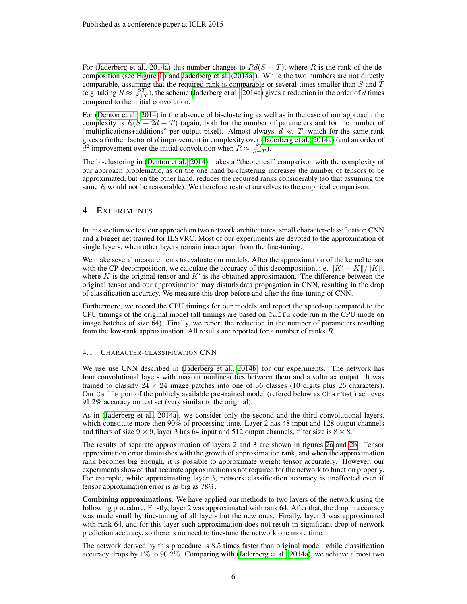For [\(Jaderberg et al., 2014a\)](#page-9-4) this number changes to  $Rd(S + T)$ , where R is the rank of the decomposition (see Figure [1b](#page-2-0) and [Jaderberg et al.](#page-9-4) [\(2014a\)](#page-9-4)). While the two numbers are not directly comparable, assuming that the required rank is comparable or several times smaller than  $S$  and  $T$ (e.g. taking  $R \approx \frac{ST}{S+T}$ ), the scheme [\(Jaderberg et al., 2014a\)](#page-9-4) gives a reduction in the order of d times compared to the initial convolution.

For [\(Denton et al., 2014\)](#page-8-4) in the absence of bi-clustering as well as in the case of our approach, the complexity is  $R(S + 2d + T)$  (again, both for the number of parameters and for the number of "multiplications+additions" per output pixel). Almost always,  $d \ll T$ , which for the same rank gives a further factor of d improvement in complexity over [\(Jaderberg et al., 2014a\)](#page-9-4) (and an order of  $\bar{d}^2$  improvement over the initial convolution when  $R \approx \frac{ST}{S+T}$ ).

The bi-clustering in [\(Denton et al., 2014\)](#page-8-4) makes a "theoretical" comparison with the complexity of our approach problematic, as on the one hand bi-clustering increases the number of tensors to be approximated, but on the other hand, reduces the required ranks considerably (so that assuming the same  $R$  would not be reasonable). We therefore restrict ourselves to the empirical comparison.

# <span id="page-5-0"></span>4 EXPERIMENTS

In this section we test our approach on two network architectures, small character-classification CNN and a bigger net trained for ILSVRC. Most of our experiments are devoted to the approximation of single layers, when other layers remain intact apart from the fine-tuning.

We make several measurements to evaluate our models. After the approximation of the kernel tensor with the CP-decomposition, we calculate the accuracy of this decomposition, i.e.  $||K'-K||/||K||$ , where  $K$  is the original tensor and  $K'$  is the obtained approximation. The difference between the original tensor and our approximation may disturb data propagation in CNN, resulting in the drop of classification accuracy. We measure this drop before and after the fine-tuning of CNN.

Furthermore, we record the CPU timings for our models and report the speed-up compared to the CPU timings of the original model (all timings are based on Caffe code run in the CPU mode on image batches of size 64). Finally, we report the reduction in the number of parameters resulting from the low-rank approximation. All results are reported for a number of ranks R.

### 4.1 CHARACTER-CLASSIFICATION CNN

We use use CNN described in [\(Jaderberg et al., 2014b\)](#page-9-6) for our experiments. The network has four convolutional layers with maxout nonlinearities between them and a softmax output. It was trained to classify  $24 \times 24$  image patches into one of 36 classes (10 digits plus 26 characters). Our Caffe port of the publicly available pre-trained model (refered below as CharNet) achieves 91.2% accuracy on test set (very similar to the original).

As in [\(Jaderberg et al., 2014a\)](#page-9-4), we consider only the second and the third convolutional layers, which constitute more then 90% of processing time. Layer 2 has 48 input and 128 output channels and filters of size  $9 \times 9$ , layer 3 has 64 input and 512 output channels, filter size is  $8 \times 8$ .

The results of separate approximation of layers 2 and 3 are shown in figures [2a](#page-7-0) and [2b.](#page-7-0) Tensor approximation error diminishes with the growth of approximation rank, and when the approximation rank becomes big enough, it is possible to approximate weight tensor accurately. However, our experiments showed that accurate approximation is not required for the network to function properly. For example, while approximating layer 3, network classification accuracy is unaffected even if tensor approximation error is as big as 78%.

Combining approximations. We have applied our methods to two layers of the network using the following procedure. Firstly, layer 2 was approximated with rank 64. After that, the drop in accuracy was made small by fine-tuning of all layers but the new ones. Finally, layer 3 was approximated with rank 64, and for this layer such approximation does not result in significant drop of network prediction accuracy, so there is no need to fine-tune the network one more time.

The network derived by this procedure is 8.5 times faster than original model, while classification accuracy drops by 1% to 90.2%. Comparing with [\(Jaderberg et al., 2014a\)](#page-9-4), we achieve almost two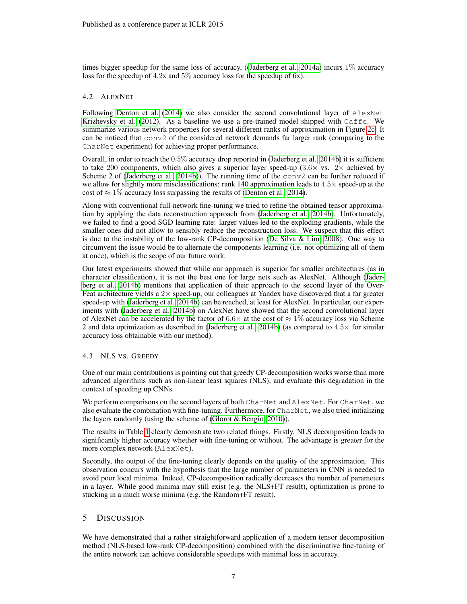times bigger speedup for the same loss of accuracy, ([\(Jaderberg et al., 2014a\)](#page-9-4) incurs 1% accuracy loss for the speedup of 4.2x and 5% accuracy loss for the speedup of 6x).

# 4.2 ALEXNET

Following [Denton et al.](#page-8-4) [\(2014\)](#page-8-4) we also consider the second convolutional layer of AlexNet [Krizhevsky et al.](#page-9-1) [\(2012\)](#page-9-1). As a baseline we use a pre-trained model shipped with Caffe. We summarize various network properties for several different ranks of approximation in Figure [2c.](#page-7-0) It can be noticed that conv2 of the considered network demands far larger rank (comparing to the CharNet experiment) for achieving proper performance.

Overall, in order to reach the 0.5% accuracy drop reported in [\(Jaderberg et al., 2014b\)](#page-9-6) it is sufficient to take 200 components, which also gives a superior layer speed-up  $(3.6 \times \text{ vs. } 2 \times \text{ achieved by})$ Scheme 2 of [\(Jaderberg et al., 2014b\)](#page-9-6)). The running time of the conv2 can be further reduced if we allow for slightly more misclassifications: rank 140 approximation leads to  $4.5\times$  speed-up at the cost of  $\approx 1\%$  accuracy loss surpassing the results of [\(Denton et al., 2014\)](#page-8-4).

Along with conventional full-network fine-tuning we tried to refine the obtained tensor approximation by applying the data reconstruction approach from [\(Jaderberg et al., 2014b\)](#page-9-6). Unfortunately, we failed to find a good SGD learning rate: larger values led to the exploding gradients, while the smaller ones did not allow to sensibly reduce the reconstruction loss. We suspect that this effect is due to the instability of the low-rank CP-decomposition [\(De Silva & Lim, 2008\)](#page-8-5). One way to circumvent the issue would be to alternate the components learning (i.e. not optimizing all of them at once), which is the scope of our future work.

Our latest experiments showed that while our approach is superior for smaller architectures (as in character classification), it is not the best one for large nets such as AlexNet. Although [\(Jader](#page-9-6)[berg et al., 2014b\)](#page-9-6) mentions that application of their approach to the second layer of the Over-Feat architecture yields a  $2\times$  speed-up, our colleagues at Yandex have discovered that a far greater speed-up with [\(Jaderberg et al., 2014b\)](#page-9-6) can be reached, at least for AlexNet. In particular, our experiments with [\(Jaderberg et al., 2014b\)](#page-9-6) on AlexNet have showed that the second convolutional layer of AlexNet can be accelerated by the factor of 6.6 $\times$  at the cost of  $\approx 1\%$  accuracy loss via Scheme 2 and data optimization as described in [\(Jaderberg et al., 2014b\)](#page-9-6) (as compared to  $4.5\times$  for similar accuracy loss obtainable with our method).

### 4.3 NLS VS. GREEDY

One of our main contributions is pointing out that greedy CP-decomposition works worse than more advanced algorithms such as non-linear least squares (NLS), and evaluate this degradation in the context of speeding up CNNs.

We perform comparisons on the second layers of both CharNet and AlexNet. For CharNet, we also evaluate the combination with fine-tuning. Furthermore, for CharNet, we also tried initializing the layers randomly (using the scheme of [\(Glorot & Bengio, 2010\)](#page-8-6)).

The results in Table [1](#page-8-7) clearly demonstrate two related things. Firstly, NLS decomposition leads to significantly higher accuracy whether with fine-tuning or without. The advantage is greater for the more complex network (AlexNet).

Secondly, the output of the fine-tuning clearly depends on the quality of the approximation. This observation concurs with the hypothesis that the large number of parameters in CNN is needed to avoid poor local minima. Indeed, CP-decomposition radically decreases the number of parameters in a layer. While good minima may still exist (e.g. the NLS+FT result), optimization is prone to stucking in a much worse minima (e.g. the Random+FT result).

# <span id="page-6-0"></span>5 DISCUSSION

We have demonstrated that a rather straightforward application of a modern tensor decomposition method (NLS-based low-rank CP-decomposition) combined with the discriminative fine-tuning of the entire network can achieve considerable speedups with minimal loss in accuracy.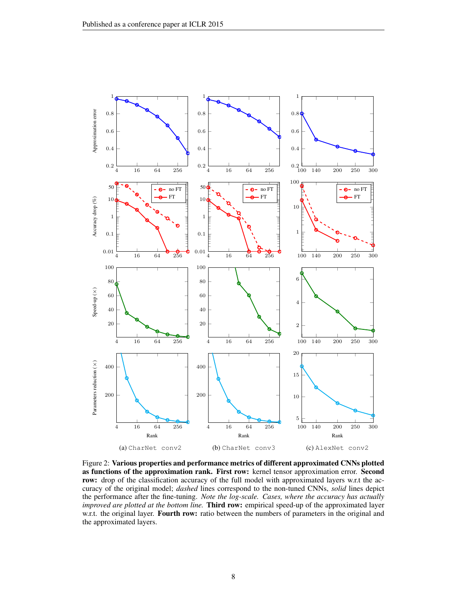<span id="page-7-0"></span>

Figure 2: Various properties and performance metrics of different approximated CNNs plotted as functions of the approximation rank. First row: kernel tensor approximation error. Second row: drop of the classification accuracy of the full model with approximated layers w.r.t the accuracy of the original model; *dashed* lines correspond to the non-tuned CNNs, *solid* lines depict the performance after the fine-tuning. *Note the log-scale. Cases, where the accuracy has actually improved are plotted at the bottom line.* Third row: empirical speed-up of the approximated layer w.r.t. the original layer. Fourth row: ratio between the numbers of parameters in the original and the approximated layers.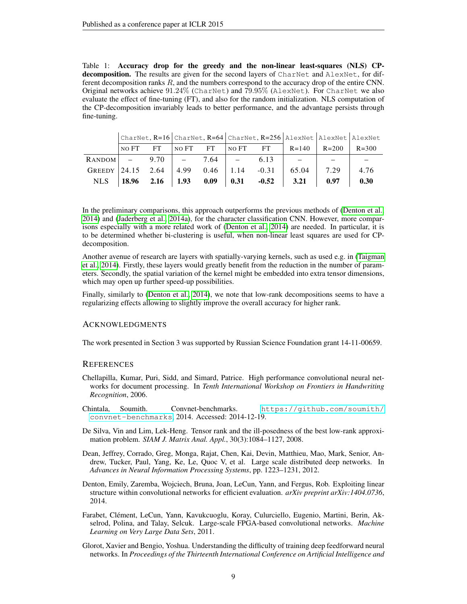<span id="page-8-7"></span>Table 1: Accuracy drop for the greedy and the non-linear least-squares (NLS) CPdecomposition. The results are given for the second layers of CharNet and AlexNet, for different decomposition ranks  $R$ , and the numbers correspond to the accuracy drop of the entire CNN. Original networks achieve 91.24% (CharNet) and 79.95% (AlexNet). For CharNet we also evaluate the effect of fine-tuning (FT), and also for the random initialization. NLS computation of the CP-decomposition invariably leads to better performance, and the advantage persists through fine-tuning.

|                         |                  |             |       |           | CharNet, $R=16$ CharNet, $R=64$ CharNet, $R=256$ AlexNet AlexNet AlexNet |         |           |           |           |
|-------------------------|------------------|-------------|-------|-----------|--------------------------------------------------------------------------|---------|-----------|-----------|-----------|
|                         | <sub>NO</sub> FT | <b>FT</b>   | NO FT | <b>FT</b> | NO FT                                                                    | FT      | $R = 140$ | $R = 200$ | $R = 300$ |
| RANDOM                  |                  | $-9.70$ $-$ |       | 7.64      |                                                                          | 6.13    |           |           |           |
| GREEDY $ 24.15 \t 2.64$ |                  |             | 4.99  | $0.46$    | $-1.14$                                                                  | $-0.31$ | 65.04     | 7.29      | 4.76      |
| <b>NLS</b>              | 18.96            | 2.16        | 1.93  | 0.09      | 0.31                                                                     | $-0.52$ | 3.21      | 0.97      | 0.30      |

In the preliminary comparisons, this approach outperforms the previous methods of [\(Denton et al.,](#page-8-4) [2014\)](#page-8-4) and [\(Jaderberg et al., 2014a\)](#page-9-4), for the character classification CNN. However, more comparisons especially with a more related work of [\(Denton et al., 2014\)](#page-8-4) are needed. In particular, it is to be determined whether bi-clustering is useful, when non-linear least squares are used for CPdecomposition.

Another avenue of research are layers with spatially-varying kernels, such as used e.g. in [\(Taigman](#page-9-14) [et al., 2014\)](#page-9-14). Firstly, these layers would greatly benefit from the reduction in the number of parameters. Secondly, the spatial variation of the kernel might be embedded into extra tensor dimensions, which may open up further speed-up possibilities.

Finally, similarly to [\(Denton et al., 2014\)](#page-8-4), we note that low-rank decompositions seems to have a regularizing effects allowing to slightly improve the overall accuracy for higher rank.

### ACKNOWLEDGMENTS

The work presented in Section 3 was supported by Russian Science Foundation grant 14-11-00659.

### **REFERENCES**

- <span id="page-8-3"></span>Chellapilla, Kumar, Puri, Sidd, and Simard, Patrice. High performance convolutional neural networks for document processing. In *Tenth International Workshop on Frontiers in Handwriting Recognition*, 2006.
- <span id="page-8-2"></span>Chintala, Soumith. Convnet-benchmarks. [https://github.com/soumith/](https://github.com/soumith/convnet-benchmarks) [convnet-benchmarks](https://github.com/soumith/convnet-benchmarks), 2014. Accessed: 2014-12-19.
- <span id="page-8-5"></span>De Silva, Vin and Lim, Lek-Heng. Tensor rank and the ill-posedness of the best low-rank approximation problem. *SIAM J. Matrix Anal. Appl.*, 30(3):1084–1127, 2008.
- <span id="page-8-0"></span>Dean, Jeffrey, Corrado, Greg, Monga, Rajat, Chen, Kai, Devin, Matthieu, Mao, Mark, Senior, Andrew, Tucker, Paul, Yang, Ke, Le, Quoc V, et al. Large scale distributed deep networks. In *Advances in Neural Information Processing Systems*, pp. 1223–1231, 2012.
- <span id="page-8-4"></span>Denton, Emily, Zaremba, Wojciech, Bruna, Joan, LeCun, Yann, and Fergus, Rob. Exploiting linear structure within convolutional networks for efficient evaluation. *arXiv preprint arXiv:1404.0736*, 2014.
- <span id="page-8-1"></span>Farabet, Clement, LeCun, Yann, Kavukcuoglu, Koray, Culurciello, Eugenio, Martini, Berin, Ak- ´ selrod, Polina, and Talay, Selcuk. Large-scale FPGA-based convolutional networks. *Machine Learning on Very Large Data Sets*, 2011.
- <span id="page-8-6"></span>Glorot, Xavier and Bengio, Yoshua. Understanding the difficulty of training deep feedforward neural networks. In *Proceedings of the Thirteenth International Conference on Artificial Intelligence and*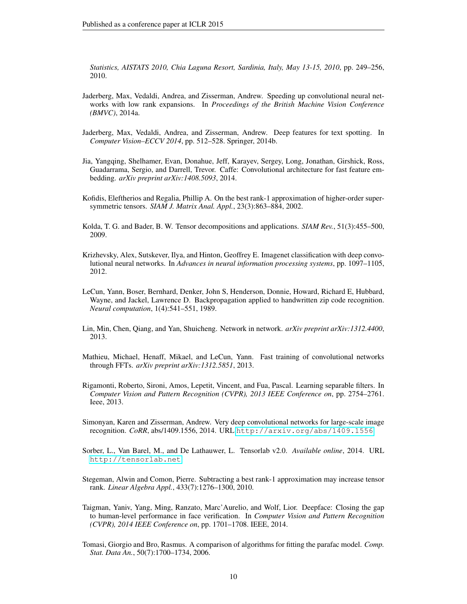*Statistics, AISTATS 2010, Chia Laguna Resort, Sardinia, Italy, May 13-15, 2010*, pp. 249–256, 2010.

- <span id="page-9-4"></span>Jaderberg, Max, Vedaldi, Andrea, and Zisserman, Andrew. Speeding up convolutional neural networks with low rank expansions. In *Proceedings of the British Machine Vision Conference (BMVC)*, 2014a.
- <span id="page-9-6"></span>Jaderberg, Max, Vedaldi, Andrea, and Zisserman, Andrew. Deep features for text spotting. In *Computer Vision–ECCV 2014*, pp. 512–528. Springer, 2014b.
- <span id="page-9-7"></span>Jia, Yangqing, Shelhamer, Evan, Donahue, Jeff, Karayev, Sergey, Long, Jonathan, Girshick, Ross, Guadarrama, Sergio, and Darrell, Trevor. Caffe: Convolutional architecture for fast feature embedding. *arXiv preprint arXiv:1408.5093*, 2014.
- <span id="page-9-12"></span>Kofidis, Eleftherios and Regalia, Phillip A. On the best rank-1 approximation of higher-order supersymmetric tensors. *SIAM J. Matrix Anal. Appl.*, 23(3):863–884, 2002.
- <span id="page-9-8"></span>Kolda, T. G. and Bader, B. W. Tensor decompositions and applications. *SIAM Rev.*, 51(3):455–500, 2009.
- <span id="page-9-1"></span>Krizhevsky, Alex, Sutskever, Ilya, and Hinton, Geoffrey E. Imagenet classification with deep convolutional neural networks. In *Advances in neural information processing systems*, pp. 1097–1105, 2012.
- <span id="page-9-0"></span>LeCun, Yann, Boser, Bernhard, Denker, John S, Henderson, Donnie, Howard, Richard E, Hubbard, Wayne, and Jackel, Lawrence D. Backpropagation applied to handwritten zip code recognition. *Neural computation*, 1(4):541–551, 1989.
- <span id="page-9-13"></span>Lin, Min, Chen, Qiang, and Yan, Shuicheng. Network in network. *arXiv preprint arXiv:1312.4400*, 2013.
- <span id="page-9-3"></span>Mathieu, Michael, Henaff, Mikael, and LeCun, Yann. Fast training of convolutional networks through FFTs. *arXiv preprint arXiv:1312.5851*, 2013.
- <span id="page-9-5"></span>Rigamonti, Roberto, Sironi, Amos, Lepetit, Vincent, and Fua, Pascal. Learning separable filters. In *Computer Vision and Pattern Recognition (CVPR), 2013 IEEE Conference on*, pp. 2754–2761. Ieee, 2013.
- <span id="page-9-2"></span>Simonyan, Karen and Zisserman, Andrew. Very deep convolutional networks for large-scale image recognition. *CoRR*, abs/1409.1556, 2014. URL <http://arxiv.org/abs/1409.1556>.
- <span id="page-9-10"></span>Sorber, L., Van Barel, M., and De Lathauwer, L. Tensorlab v2.0. *Available online*, 2014. URL <http://tensorlab.net>.
- <span id="page-9-11"></span>Stegeman, Alwin and Comon, Pierre. Subtracting a best rank-1 approximation may increase tensor rank. *Linear Algebra Appl.*, 433(7):1276–1300, 2010.
- <span id="page-9-14"></span>Taigman, Yaniv, Yang, Ming, Ranzato, Marc'Aurelio, and Wolf, Lior. Deepface: Closing the gap to human-level performance in face verification. In *Computer Vision and Pattern Recognition (CVPR), 2014 IEEE Conference on*, pp. 1701–1708. IEEE, 2014.
- <span id="page-9-9"></span>Tomasi, Giorgio and Bro, Rasmus. A comparison of algorithms for fitting the parafac model. *Comp. Stat. Data An.*, 50(7):1700–1734, 2006.